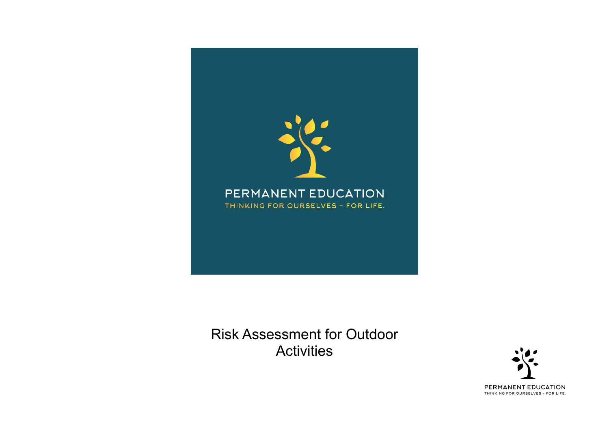

Risk Assessment for Outdoor **Activities** 

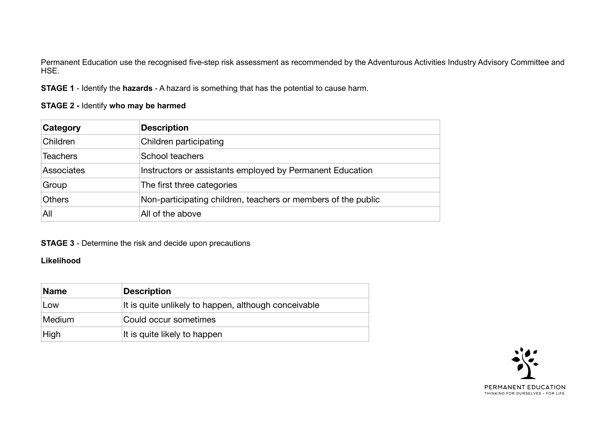Permanent Education use the recognised five-step risk assessment as recommended by the Adventurous Activities Industry Advisory Committee and HSE.

**STAGE 1** - Identify the **hazards** - A hazard is something that has the potential to cause harm.

### **STAGE 2 -** Identify **who may be harmed**

| <b>Category</b>   | <b>Description</b>                                            |
|-------------------|---------------------------------------------------------------|
| Children          | Children participating                                        |
| <b>Teachers</b>   | School teachers                                               |
| <b>Associates</b> | Instructors or assistants employed by Permanent Education     |
| Group             | The first three categories                                    |
| <b>Others</b>     | Non-participating children, teachers or members of the public |
| All               | All of the above                                              |

## **STAGE 3** - Determine the risk and decide upon precautions

### **Likelihood**

| <b>Name</b> | <b>Description</b>                                   |
|-------------|------------------------------------------------------|
| Low         | It is quite unlikely to happen, although conceivable |
| Medium      | Could occur sometimes                                |
| High        | It is quite likely to happen                         |

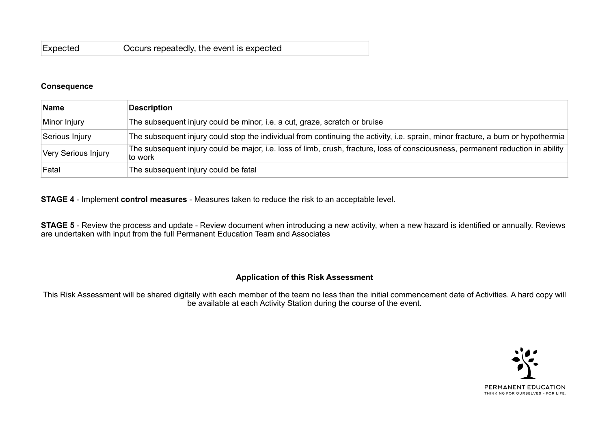| Expected | Occurs repeatedly, the event is expected |
|----------|------------------------------------------|
|----------|------------------------------------------|

#### **Consequence**

| <b>Name</b>         | <b>Description</b>                                                                                                                         |
|---------------------|--------------------------------------------------------------------------------------------------------------------------------------------|
| Minor Injury        | The subsequent injury could be minor, i.e. a cut, graze, scratch or bruise                                                                 |
| Serious Injury      | The subsequent injury could stop the individual from continuing the activity, i.e. sprain, minor fracture, a burn or hypothermia           |
| Very Serious Injury | The subsequent injury could be major, i.e. loss of limb, crush, fracture, loss of consciousness, permanent reduction in ability<br>to work |
| Fatal               | The subsequent injury could be fatal                                                                                                       |

**STAGE 4** - Implement **control measures** - Measures taken to reduce the risk to an acceptable level.

**STAGE 5** - Review the process and update - Review document when introducing a new activity, when a new hazard is identified or annually. Reviews are undertaken with input from the full Permanent Education Team and Associates

#### **Application of this Risk Assessment**

This Risk Assessment will be shared digitally with each member of the team no less than the initial commencement date of Activities. A hard copy will be available at each Activity Station during the course of the event.

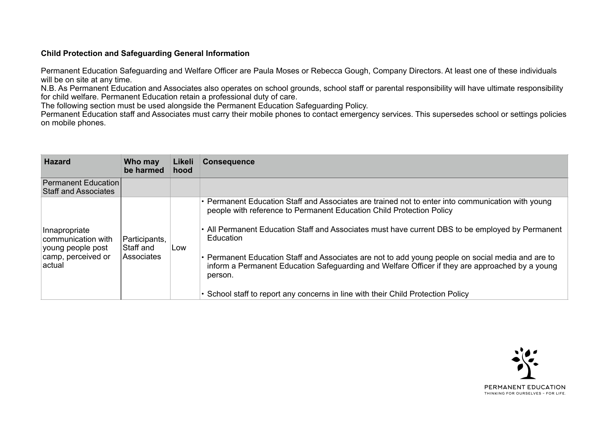### **Child Protection and Safeguarding General Information**

Permanent Education Safeguarding and Welfare Officer are Paula Moses or Rebecca Gough, Company Directors. At least one of these individuals will be on site at any time.

N.B. As Permanent Education and Associates also operates on school grounds, school staff or parental responsibility will have ultimate responsibility for child welfare. Permanent Education retain a professional duty of care.

The following section must be used alongside the Permanent Education Safeguarding Policy.

Permanent Education staff and Associates must carry their mobile phones to contact emergency services. This supersedes school or settings policies on mobile phones.

| <b>Hazard</b>                                                                             | Who may<br>be harmed                     | Likeli<br>hood | <b>Consequence</b>                                                                                                                                                                                                                                                                                                                                                                                                                                                                                                                                                                                |
|-------------------------------------------------------------------------------------------|------------------------------------------|----------------|---------------------------------------------------------------------------------------------------------------------------------------------------------------------------------------------------------------------------------------------------------------------------------------------------------------------------------------------------------------------------------------------------------------------------------------------------------------------------------------------------------------------------------------------------------------------------------------------------|
| <b>Permanent Education</b><br><b>Staff and Associates</b>                                 |                                          |                |                                                                                                                                                                                                                                                                                                                                                                                                                                                                                                                                                                                                   |
| Innapropriate<br>communication with<br>young people post<br>camp, perceived or<br>∣actual | Participants,<br>Staff and<br>Associates | Low            | • Permanent Education Staff and Associates are trained not to enter into communication with young<br>people with reference to Permanent Education Child Protection Policy<br>• All Permanent Education Staff and Associates must have current DBS to be employed by Permanent<br>Education<br>• Permanent Education Staff and Associates are not to add young people on social media and are to<br>inform a Permanent Education Safeguarding and Welfare Officer if they are approached by a young<br>person.<br>• School staff to report any concerns in line with their Child Protection Policy |

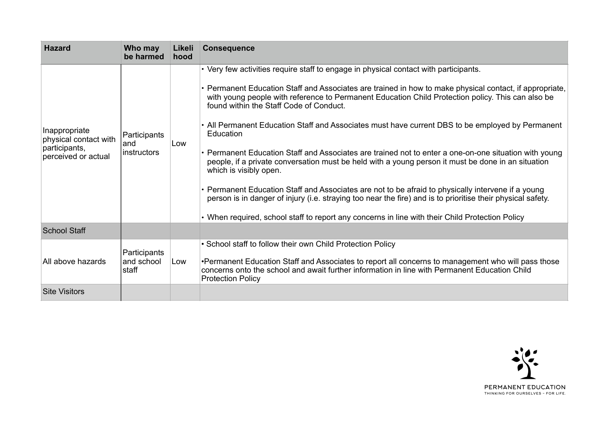| <b>Hazard</b>                                                                  | Who may<br>be harmed                | Likeli<br>hood | <b>Consequence</b>                                                                                                                                                                                                                                                                                                                                                                                                                                                                                                                                                                                                                                                                                                                                                                                                                                                                                                                                                                                                                |
|--------------------------------------------------------------------------------|-------------------------------------|----------------|-----------------------------------------------------------------------------------------------------------------------------------------------------------------------------------------------------------------------------------------------------------------------------------------------------------------------------------------------------------------------------------------------------------------------------------------------------------------------------------------------------------------------------------------------------------------------------------------------------------------------------------------------------------------------------------------------------------------------------------------------------------------------------------------------------------------------------------------------------------------------------------------------------------------------------------------------------------------------------------------------------------------------------------|
| Inappropriate<br>physical contact with<br>participants,<br>perceived or actual | Participants<br>and<br>instructors  | Low            | • Very few activities require staff to engage in physical contact with participants.<br>• Permanent Education Staff and Associates are trained in how to make physical contact, if appropriate,<br>with young people with reference to Permanent Education Child Protection policy. This can also be<br>found within the Staff Code of Conduct.<br>• All Permanent Education Staff and Associates must have current DBS to be employed by Permanent<br>Education<br>• Permanent Education Staff and Associates are trained not to enter a one-on-one situation with young<br>people, if a private conversation must be held with a young person it must be done in an situation<br>which is visibly open.<br>• Permanent Education Staff and Associates are not to be afraid to physically intervene if a young<br>person is in danger of injury (i.e. straying too near the fire) and is to prioritise their physical safety.<br>• When required, school staff to report any concerns in line with their Child Protection Policy |
| <b>School Staff</b>                                                            |                                     |                |                                                                                                                                                                                                                                                                                                                                                                                                                                                                                                                                                                                                                                                                                                                                                                                                                                                                                                                                                                                                                                   |
| All above hazards                                                              | Participants<br>and school<br>staff | Low            | • School staff to follow their own Child Protection Policy<br>•Permanent Education Staff and Associates to report all concerns to management who will pass those<br>concerns onto the school and await further information in line with Permanent Education Child<br><b>Protection Policy</b>                                                                                                                                                                                                                                                                                                                                                                                                                                                                                                                                                                                                                                                                                                                                     |
| <b>Site Visitors</b>                                                           |                                     |                |                                                                                                                                                                                                                                                                                                                                                                                                                                                                                                                                                                                                                                                                                                                                                                                                                                                                                                                                                                                                                                   |

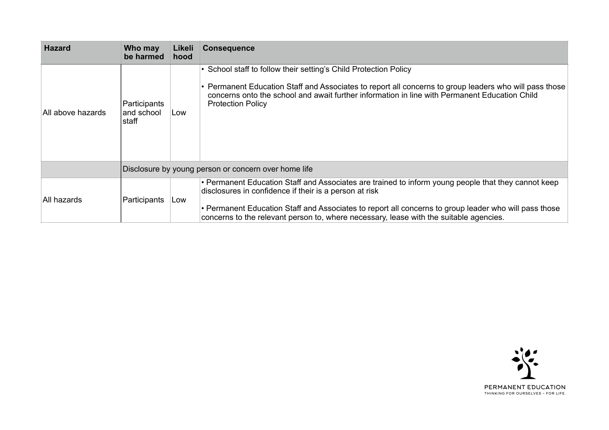| <b>Hazard</b>     | Who may<br>be harmed                | Likeli<br>hood | <b>Consequence</b>                                                                                                                                                                                                                                                                                                                                               |  |
|-------------------|-------------------------------------|----------------|------------------------------------------------------------------------------------------------------------------------------------------------------------------------------------------------------------------------------------------------------------------------------------------------------------------------------------------------------------------|--|
| All above hazards | Participants<br>and school<br>staff | Low            | • School staff to follow their setting's Child Protection Policy<br>• Permanent Education Staff and Associates to report all concerns to group leaders who will pass those<br>concerns onto the school and await further information in line with Permanent Education Child<br><b>Protection Policy</b>                                                          |  |
|                   |                                     |                | Disclosure by young person or concern over home life                                                                                                                                                                                                                                                                                                             |  |
| All hazards       | Participants                        | Low            | • Permanent Education Staff and Associates are trained to inform young people that they cannot keep<br>disclosures in confidence if their is a person at risk<br>• Permanent Education Staff and Associates to report all concerns to group leader who will pass those<br>concerns to the relevant person to, where necessary, lease with the suitable agencies. |  |

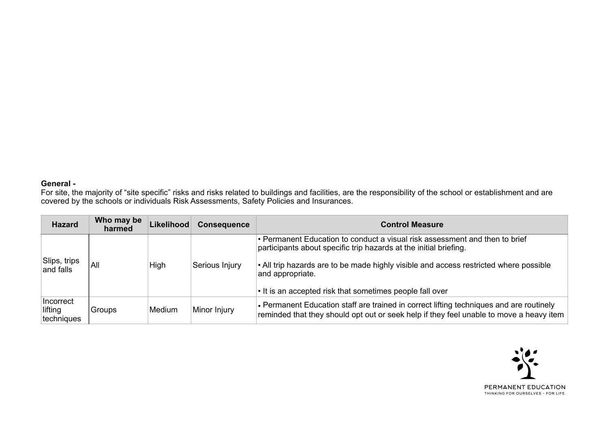#### **General -**

For site, the majority of "site specific" risks and risks related to buildings and facilities, are the responsibility of the school or establishment and are covered by the schools or individuals Risk Assessments, Safety Policies and Insurances.

| <b>Hazard</b>                      | Who may be<br>harmed | <b>Likelihood</b> | <b>Consequence</b> | <b>Control Measure</b>                                                                                                                                                             |
|------------------------------------|----------------------|-------------------|--------------------|------------------------------------------------------------------------------------------------------------------------------------------------------------------------------------|
|                                    |                      |                   |                    | • Permanent Education to conduct a visual risk assessment and then to brief<br>participants about specific trip hazards at the initial briefing.                                   |
| Slips, trips<br>and falls          | All                  | High              | Serious Injury     | • All trip hazards are to be made highly visible and access restricted where possible<br>and appropriate.                                                                          |
|                                    |                      |                   |                    | • It is an accepted risk that sometimes people fall over                                                                                                                           |
| Incorrect<br>lifting<br>techniques | Groups               | <b>Medium</b>     | Minor Injury       | • Permanent Education staff are trained in correct lifting techniques and are routinely<br>reminded that they should opt out or seek help if they feel unable to move a heavy item |

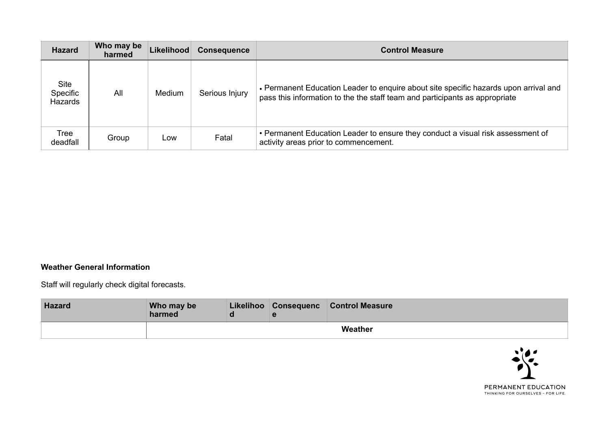| <b>Hazard</b>                             | Who may be<br>harmed | <b>Likelihood</b> | <b>Consequence</b> | <b>Control Measure</b>                                                                                                                                              |
|-------------------------------------------|----------------------|-------------------|--------------------|---------------------------------------------------------------------------------------------------------------------------------------------------------------------|
| <b>Site</b><br>Specific<br><b>Hazards</b> | All                  | Medium            | Serious Injury     | • Permanent Education Leader to enquire about site specific hazards upon arrival and<br>pass this information to the the staff team and participants as appropriate |
| Tree<br>deadfall                          | Group                | Low               | Fatal              | • Permanent Education Leader to ensure they conduct a visual risk assessment of<br>activity areas prior to commencement.                                            |

# **Weather General Information**

Staff will regularly check digital forecasts.

| <b>Hazard</b> | Who may be<br>harmed |  | Likelihoo Consequenc Control Measure |
|---------------|----------------------|--|--------------------------------------|
|               |                      |  | Weather                              |

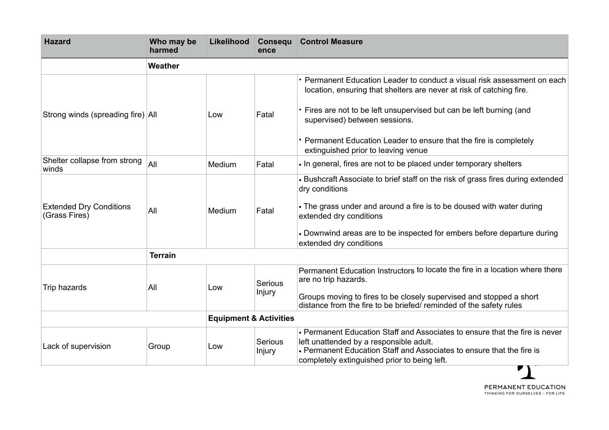| <b>Hazard</b>                                   | Who may be<br>harmed | Likelihood                        | Consequ<br>ence   | <b>Control Measure</b>                                                                                                                                                                                                                                                                                                          |
|-------------------------------------------------|----------------------|-----------------------------------|-------------------|---------------------------------------------------------------------------------------------------------------------------------------------------------------------------------------------------------------------------------------------------------------------------------------------------------------------------------|
|                                                 | Weather              |                                   |                   |                                                                                                                                                                                                                                                                                                                                 |
| Strong winds (spreading fire) All               |                      | Low                               | Fatal             | • Permanent Education Leader to conduct a visual risk assessment on each<br>location, ensuring that shelters are never at risk of catching fire.<br>• Fires are not to be left unsupervised but can be left burning (and<br>supervised) between sessions.<br>• Permanent Education Leader to ensure that the fire is completely |
| Shelter collapse from strong                    | All                  | Medium                            | Fatal             | extinguished prior to leaving venue<br>. In general, fires are not to be placed under temporary shelters                                                                                                                                                                                                                        |
| winds                                           |                      |                                   |                   |                                                                                                                                                                                                                                                                                                                                 |
| <b>Extended Dry Conditions</b><br>(Grass Fires) | All                  | Medium                            | Fatal             | • Bushcraft Associate to brief staff on the risk of grass fires during extended<br>dry conditions<br>• The grass under and around a fire is to be doused with water during<br>extended dry conditions<br>• Downwind areas are to be inspected for embers before departure during<br>extended dry conditions                     |
|                                                 | <b>Terrain</b>       |                                   |                   |                                                                                                                                                                                                                                                                                                                                 |
| Trip hazards                                    | All                  | Low                               | Serious<br>Injury | Permanent Education Instructors to locate the fire in a location where there<br>are no trip hazards.<br>Groups moving to fires to be closely supervised and stopped a short<br>distance from the fire to be briefed/reminded of the safety rules                                                                                |
|                                                 |                      | <b>Equipment &amp; Activities</b> |                   |                                                                                                                                                                                                                                                                                                                                 |
| Lack of supervision                             | Group                | Low                               | Serious<br>Injury | • Permanent Education Staff and Associates to ensure that the fire is never<br>left unattended by a responsible adult.<br>• Permanent Education Staff and Associates to ensure that the fire is<br>completely extinguished prior to being left.                                                                                 |

PERMANENT EDUCATION THINKING FOR OURSELVES - FOR LIFE.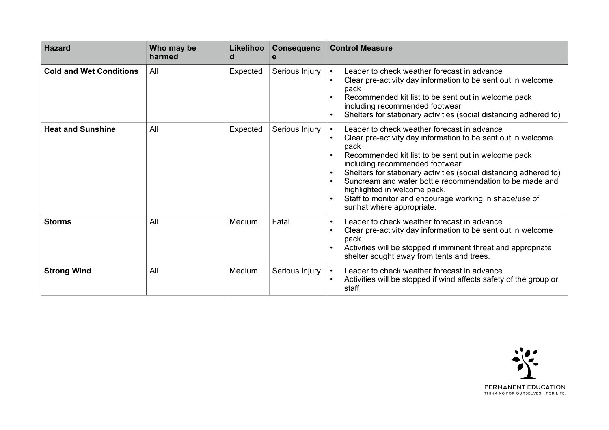| <b>Hazard</b>                  | Who may be<br>harmed | Likelihoo<br>d | <b>Consequenc</b><br>e | <b>Control Measure</b>                                                                                                                                                                                                                                                                                                                                                                                                                                                                        |
|--------------------------------|----------------------|----------------|------------------------|-----------------------------------------------------------------------------------------------------------------------------------------------------------------------------------------------------------------------------------------------------------------------------------------------------------------------------------------------------------------------------------------------------------------------------------------------------------------------------------------------|
| <b>Cold and Wet Conditions</b> | All                  | Expected       | Serious Injury         | Leader to check weather forecast in advance<br>$\bullet$<br>Clear pre-activity day information to be sent out in welcome<br>pack<br>Recommended kit list to be sent out in welcome pack<br>including recommended footwear<br>Shelters for stationary activities (social distancing adhered to)                                                                                                                                                                                                |
| <b>Heat and Sunshine</b>       | All                  | Expected       | Serious Injury         | Leader to check weather forecast in advance<br>Clear pre-activity day information to be sent out in welcome<br>pack<br>Recommended kit list to be sent out in welcome pack<br>$\bullet$<br>including recommended footwear<br>Shelters for stationary activities (social distancing adhered to)<br>Suncream and water bottle recommendation to be made and<br>highlighted in welcome pack.<br>Staff to monitor and encourage working in shade/use of<br>$\bullet$<br>sunhat where appropriate. |
| <b>Storms</b>                  | All                  | <b>Medium</b>  | Fatal                  | Leader to check weather forecast in advance<br>$\bullet$<br>Clear pre-activity day information to be sent out in welcome<br>pack<br>Activities will be stopped if imminent threat and appropriate<br>shelter sought away from tents and trees.                                                                                                                                                                                                                                                |
| <b>Strong Wind</b>             | All                  | Medium         | Serious Injury         | Leader to check weather forecast in advance<br>Activities will be stopped if wind affects safety of the group or<br>staff                                                                                                                                                                                                                                                                                                                                                                     |

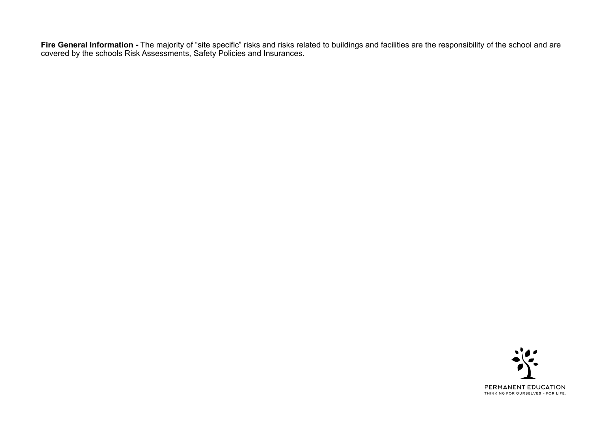Fire General Information - The majority of "site specific" risks and risks related to buildings and facilities are the responsibility of the school and are covered by the schools Risk Assessments, Safety Policies and Insurances.

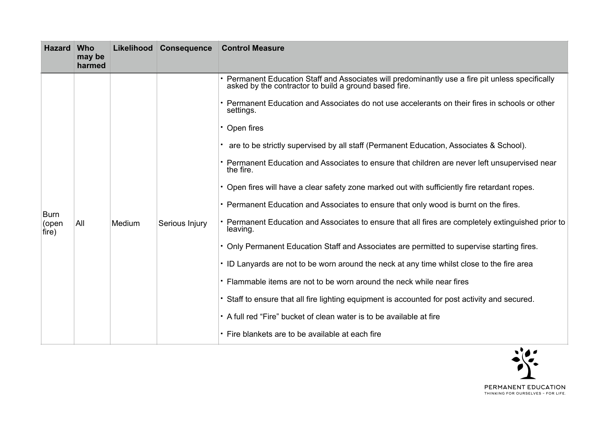| <b>Hazard</b>                 | Who<br>may be<br>harmed |        | Likelihood Consequence | <b>Control Measure</b>                                                                                                                                                                                                                                                                                                                                                                                                                                                                                                                                                                                                                                                                                                                                                                                                                                                                                                                                                                                                                                                                                                                                                                                                                                        |  |
|-------------------------------|-------------------------|--------|------------------------|---------------------------------------------------------------------------------------------------------------------------------------------------------------------------------------------------------------------------------------------------------------------------------------------------------------------------------------------------------------------------------------------------------------------------------------------------------------------------------------------------------------------------------------------------------------------------------------------------------------------------------------------------------------------------------------------------------------------------------------------------------------------------------------------------------------------------------------------------------------------------------------------------------------------------------------------------------------------------------------------------------------------------------------------------------------------------------------------------------------------------------------------------------------------------------------------------------------------------------------------------------------|--|
| <b>Burn</b><br>(open<br>fire) | All                     | Medium | Serious Injury         | • Permanent Education Staff and Associates will predominantly use a fire pit unless specifically asked by the contractor to build a ground based fire.<br>• Permanent Education and Associates do not use accelerants on their fires in schools or other<br>settings.<br>$\cdot$ Open fires<br>are to be strictly supervised by all staff (Permanent Education, Associates & School).<br>• Permanent Education and Associates to ensure that children are never left unsupervised near<br>the fire.<br>• Open fires will have a clear safety zone marked out with sufficiently fire retardant ropes.<br>• Permanent Education and Associates to ensure that only wood is burnt on the fires.<br>• Permanent Education and Associates to ensure that all fires are completely extinguished prior to<br>leaving.<br>• Only Permanent Education Staff and Associates are permitted to supervise starting fires.<br>• ID Lanyards are not to be worn around the neck at any time whilst close to the fire area<br>• Flammable items are not to be worn around the neck while near fires<br>• Staff to ensure that all fire lighting equipment is accounted for post activity and secured.<br>• A full red "Fire" bucket of clean water is to be available at fire |  |
|                               |                         |        |                        | • Fire blankets are to be available at each fire                                                                                                                                                                                                                                                                                                                                                                                                                                                                                                                                                                                                                                                                                                                                                                                                                                                                                                                                                                                                                                                                                                                                                                                                              |  |

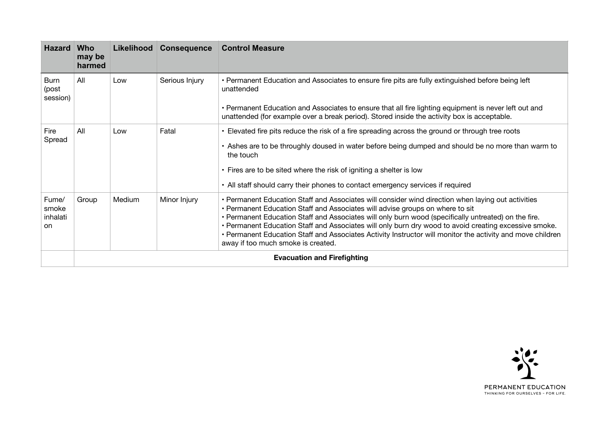| <b>Hazard</b>                    | <b>Who</b><br>may be<br>harmed     | Likelihood | <b>Consequence</b> | <b>Control Measure</b>                                                                                                                                                                                                                                                                                                                                                                                                                                                                                                                                   |  |  |
|----------------------------------|------------------------------------|------------|--------------------|----------------------------------------------------------------------------------------------------------------------------------------------------------------------------------------------------------------------------------------------------------------------------------------------------------------------------------------------------------------------------------------------------------------------------------------------------------------------------------------------------------------------------------------------------------|--|--|
| <b>Burn</b><br>(post<br>session) | All                                | Low        | Serious Injury     | • Permanent Education and Associates to ensure fire pits are fully extinguished before being left<br>unattended<br>• Permanent Education and Associates to ensure that all fire lighting equipment is never left out and<br>unattended (for example over a break period). Stored inside the activity box is acceptable.                                                                                                                                                                                                                                  |  |  |
| Fire<br>Spread                   | All                                | Low        | Fatal              | • Elevated fire pits reduce the risk of a fire spreading across the ground or through tree roots<br>• Ashes are to be throughly doused in water before being dumped and should be no more than warm to<br>the touch<br>• Fires are to be sited where the risk of igniting a shelter is low<br>• All staff should carry their phones to contact emergency services if required                                                                                                                                                                            |  |  |
| Fume/<br>smoke<br>inhalati<br>on | Group                              | Medium     | Minor Injury       | • Permanent Education Staff and Associates will consider wind direction when laying out activities<br>• Permanent Education Staff and Associates will advise groups on where to sit<br>. Permanent Education Staff and Associates will only burn wood (specifically untreated) on the fire.<br>. Permanent Education Staff and Associates will only burn dry wood to avoid creating excessive smoke.<br>• Permanent Education Staff and Associates Activity Instructor will monitor the activity and move children<br>away if too much smoke is created. |  |  |
|                                  | <b>Evacuation and Firefighting</b> |            |                    |                                                                                                                                                                                                                                                                                                                                                                                                                                                                                                                                                          |  |  |

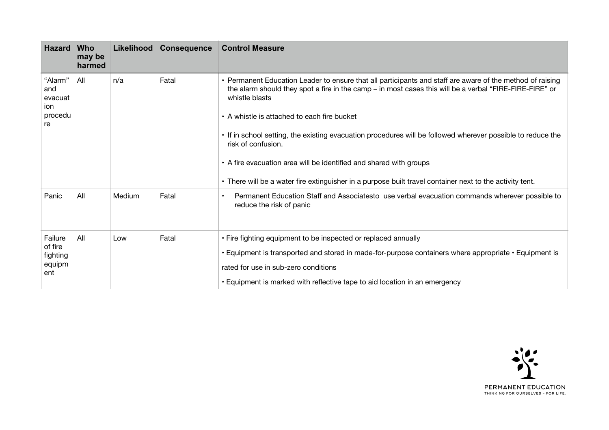| <b>Hazard</b>                                     | <b>Who</b><br>may be<br>harmed | <b>Likelihood</b> | <b>Consequence</b> | <b>Control Measure</b>                                                                                                                                                                                                                                                                                                                                                                                                                                                                                                                                                                                       |  |
|---------------------------------------------------|--------------------------------|-------------------|--------------------|--------------------------------------------------------------------------------------------------------------------------------------------------------------------------------------------------------------------------------------------------------------------------------------------------------------------------------------------------------------------------------------------------------------------------------------------------------------------------------------------------------------------------------------------------------------------------------------------------------------|--|
| "Alarm"<br>and<br>evacuat<br>ion<br>procedu<br>re | All                            | n/a               | Fatal              | • Permanent Education Leader to ensure that all participants and staff are aware of the method of raising<br>the alarm should they spot a fire in the camp – in most cases this will be a verbal "FIRE-FIRE-FIRE" or<br>whistle blasts<br>• A whistle is attached to each fire bucket<br>• If in school setting, the existing evacuation procedures will be followed wherever possible to reduce the<br>risk of confusion.<br>• A fire evacuation area will be identified and shared with groups<br>• There will be a water fire extinguisher in a purpose built travel container next to the activity tent. |  |
| Panic                                             | All                            | Medium            | Fatal              | Permanent Education Staff and Associatesto use verbal evacuation commands wherever possible to<br>reduce the risk of panic                                                                                                                                                                                                                                                                                                                                                                                                                                                                                   |  |
| Failure<br>of fire<br>fighting<br>equipm<br>ent   | All                            | Low               | Fatal              | • Fire fighting equipment to be inspected or replaced annually<br>• Equipment is transported and stored in made-for-purpose containers where appropriate • Equipment is<br>rated for use in sub-zero conditions<br>• Equipment is marked with reflective tape to aid location in an emergency                                                                                                                                                                                                                                                                                                                |  |

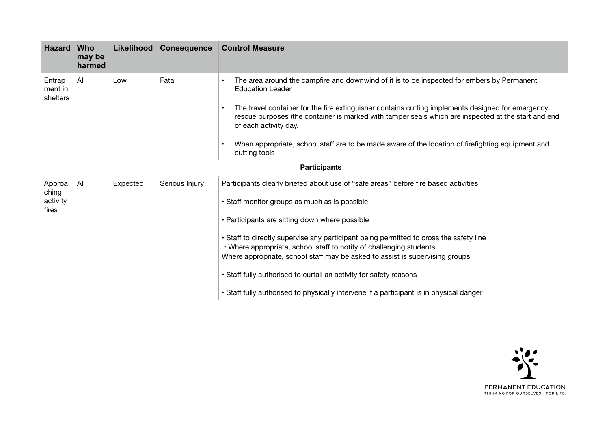| <b>Hazard</b>                 | <b>Who</b><br>may be<br>harmed | Likelihood | <b>Consequence</b>                                                                                    | <b>Control Measure</b>                                                                                                                                                                                                     |  |
|-------------------------------|--------------------------------|------------|-------------------------------------------------------------------------------------------------------|----------------------------------------------------------------------------------------------------------------------------------------------------------------------------------------------------------------------------|--|
| Entrap<br>ment in<br>shelters | All                            | Low        | Fatal                                                                                                 | The area around the campfire and downwind of it is to be inspected for embers by Permanent<br><b>Education Leader</b><br>The travel container for the fire extinguisher contains cutting implements designed for emergency |  |
|                               |                                |            |                                                                                                       | rescue purposes (the container is marked with tamper seals which are inspected at the start and end<br>of each activity day.                                                                                               |  |
|                               |                                |            |                                                                                                       | When appropriate, school staff are to be made aware of the location of firefighting equipment and<br>cutting tools                                                                                                         |  |
|                               |                                |            |                                                                                                       | <b>Participants</b>                                                                                                                                                                                                        |  |
| Approa<br>ching               | All                            | Expected   | Serious Injury<br>Participants clearly briefed about use of "safe areas" before fire based activities |                                                                                                                                                                                                                            |  |
| activity<br>fires             |                                |            |                                                                                                       | · Staff monitor groups as much as is possible                                                                                                                                                                              |  |
|                               |                                |            |                                                                                                       | • Participants are sitting down where possible                                                                                                                                                                             |  |
|                               |                                |            |                                                                                                       | • Staff to directly supervise any participant being permitted to cross the safety line                                                                                                                                     |  |
|                               |                                |            |                                                                                                       | . Where appropriate, school staff to notify of challenging students<br>Where appropriate, school staff may be asked to assist is supervising groups                                                                        |  |
|                               |                                |            |                                                                                                       |                                                                                                                                                                                                                            |  |
|                               |                                |            |                                                                                                       | • Staff fully authorised to curtail an activity for safety reasons                                                                                                                                                         |  |
|                               |                                |            |                                                                                                       | • Staff fully authorised to physically intervene if a participant is in physical danger                                                                                                                                    |  |

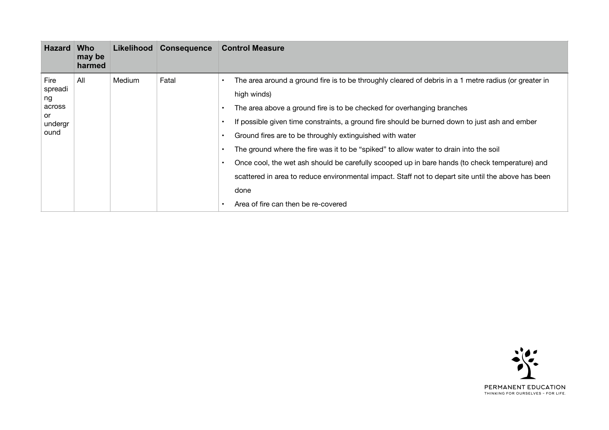| <b>Hazard</b>                                            | <b>Who</b><br>may be<br>harmed |               | Likelihood Consequence | <b>Control Measure</b>                                                                                                                                                                                                                                                                                                                                                                                                                                                                                                                                                                                                                                        |  |
|----------------------------------------------------------|--------------------------------|---------------|------------------------|---------------------------------------------------------------------------------------------------------------------------------------------------------------------------------------------------------------------------------------------------------------------------------------------------------------------------------------------------------------------------------------------------------------------------------------------------------------------------------------------------------------------------------------------------------------------------------------------------------------------------------------------------------------|--|
| Fire<br>spreadi<br>ng<br>across<br>or<br>undergr<br>ound | All                            | <b>Medium</b> | Fatal                  | The area around a ground fire is to be throughly cleared of debris in a 1 metre radius (or greater in<br>high winds)<br>The area above a ground fire is to be checked for overhanging branches<br>If possible given time constraints, a ground fire should be burned down to just ash and ember<br>Ground fires are to be throughly extinguished with water<br>The ground where the fire was it to be "spiked" to allow water to drain into the soil<br>Once cool, the wet ash should be carefully scooped up in bare hands (to check temperature) and<br>scattered in area to reduce environmental impact. Staff not to depart site until the above has been |  |
|                                                          |                                |               |                        | done<br>Area of fire can then be re-covered                                                                                                                                                                                                                                                                                                                                                                                                                                                                                                                                                                                                                   |  |

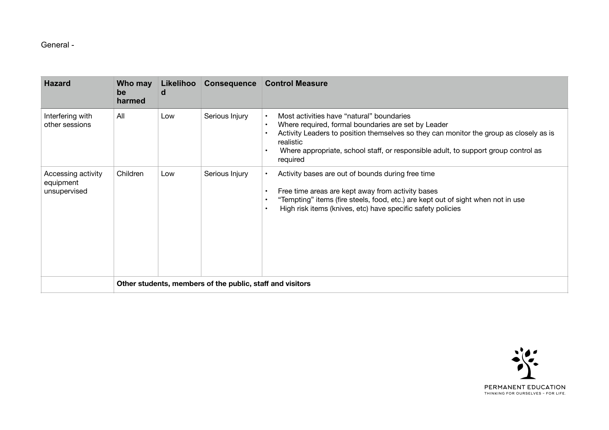### General -

| <b>Hazard</b>                                   | Who may<br>be<br>harmed                                   | Likelihoo<br>a | <b>Consequence</b> | <b>Control Measure</b>                                                                                                                                                                                                                                                                                                 |  |  |
|-------------------------------------------------|-----------------------------------------------------------|----------------|--------------------|------------------------------------------------------------------------------------------------------------------------------------------------------------------------------------------------------------------------------------------------------------------------------------------------------------------------|--|--|
| Interfering with<br>other sessions              | All                                                       | Low            | Serious Injury     | Most activities have "natural" boundaries<br>Where required, formal boundaries are set by Leader<br>$\bullet$<br>Activity Leaders to position themselves so they can monitor the group as closely as is<br>realistic<br>Where appropriate, school staff, or responsible adult, to support group control as<br>required |  |  |
| Accessing activity<br>equipment<br>unsupervised | Children                                                  | Low            | Serious Injury     | Activity bases are out of bounds during free time<br>Free time areas are kept away from activity bases<br>"Tempting" items (fire steels, food, etc.) are kept out of sight when not in use<br>High risk items (knives, etc) have specific safety policies                                                              |  |  |
|                                                 | Other students, members of the public, staff and visitors |                |                    |                                                                                                                                                                                                                                                                                                                        |  |  |

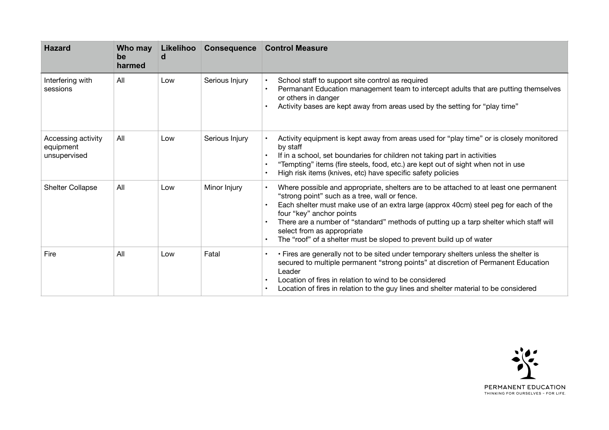| <b>Hazard</b>                                   | Who may<br>be<br>harmed | Likelihoo<br>d | <b>Consequence</b> | <b>Control Measure</b>                                                                                                                                                                                                                                                                                                                                                                                                                                    |
|-------------------------------------------------|-------------------------|----------------|--------------------|-----------------------------------------------------------------------------------------------------------------------------------------------------------------------------------------------------------------------------------------------------------------------------------------------------------------------------------------------------------------------------------------------------------------------------------------------------------|
| Interfering with<br>sessions                    | All                     | Low            | Serious Injury     | School staff to support site control as required<br>Permanant Education management team to intercept adults that are putting themselves<br>or others in danger<br>Activity bases are kept away from areas used by the setting for "play time"                                                                                                                                                                                                             |
| Accessing activity<br>equipment<br>unsupervised | All                     | Low            | Serious Injury     | Activity equipment is kept away from areas used for "play time" or is closely monitored<br>by staff<br>If in a school, set boundaries for children not taking part in activities<br>"Tempting" items (fire steels, food, etc.) are kept out of sight when not in use<br>High risk items (knives, etc) have specific safety policies                                                                                                                       |
| <b>Shelter Collapse</b>                         | All                     | Low            | Minor Injury       | Where possible and appropriate, shelters are to be attached to at least one permanent<br>"strong point" such as a tree, wall or fence.<br>Each shelter must make use of an extra large (approx 40cm) steel peg for each of the<br>four "key" anchor points<br>There are a number of "standard" methods of putting up a tarp shelter which staff will<br>select from as appropriate<br>The "roof" of a shelter must be sloped to prevent build up of water |
| Fire                                            | All                     | Low            | Fatal              | • Fires are generally not to be sited under temporary shelters unless the shelter is<br>secured to multiple permanent "strong points" at discretion of Permanent Education<br>Leader<br>Location of fires in relation to wind to be considered<br>Location of fires in relation to the guy lines and shelter material to be considered                                                                                                                    |